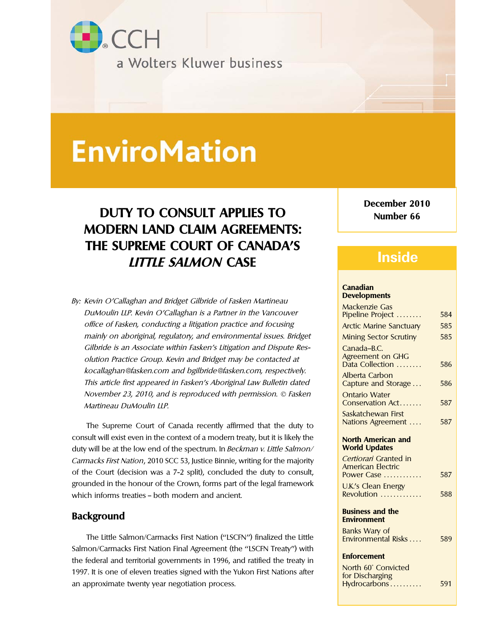

# **EnviroMation**

# **DUTY TO CONSULT APPLIES TO Number 66 MODERN LAND CLAIM AGREEMENTS: THE SUPREME COURT OF CANADA'S LITTLE SALMON CASE**

By: Kevin O'Callaghan and Bridget Gilbride of Fasken Martineau<br>DuMoulin LLP. Kevin O'Callaghan is a Partner in the Vancouver office of Fasken, conducting a litigation practice and focusing mainly on aboriginal, regulatory, and environmental issues. Bridget Gilbride is an Associate within Fasken's Litigation and Dispute Resolution Practice Group. Kevin and Bridget may be contacted at kocallaghan@fasken.com and bgilbride@fasken.com, respectively. This article first appeared in Fasken's Aboriginal Law Bulletin dated November 23, 2010, and is reproduced with permission.  $©$  Fasken Martineau DuMoulin LLP.

The Supreme Court of Canada recently affirmed that the duty to consult will exist even in the context of a modern treaty, but it is likely the duty will be at the low end of the spectrum. In Beckman v. Little Salmon/ Carmacks First Nation, 2010 SCC 53, Justice Binnie, writing for the majority of the Court (decision was a 7-2 split), concluded the duty to consult, grounded in the honour of the Crown, forms part of the legal framework which informs treaties - both modern and ancient.

### **Background**

The Little Salmon/Carmacks First Nation ("LSCFN") finalized the Little Salmon/Carmacks First Nation Final Agreement (the ''LSCFN Treaty'') with **Enforcement** the federal and territorial governments in 1996, and ratified the treaty in 1997. It is one of eleven treaties signed with the Yukon First Nations after an approximate twenty year negotiation process.

**December 2010**

## **Inside**

# **Canadian**

| Mackenzie Gas                                     |     |
|---------------------------------------------------|-----|
| Pipeline Project                                  | 584 |
| <b>Arctic Marine Sanctuary</b>                    | 585 |
| <b>Mining Sector Scrutiny</b>                     | 585 |
| Canada-B.C.                                       |     |
| <b>Agreement on GHG</b>                           |     |
| Data Collection                                   | 586 |
| Alberta Carbon                                    |     |
| Capture and Storage                               | 586 |
| <b>Ontario Water</b>                              |     |
| Conservation Act                                  | 587 |
| Saskatchewan First                                |     |
| Nations Agreement                                 | 587 |
|                                                   |     |
| <b>North American and</b><br><b>World Updates</b> |     |
| Certiorari Granted in                             |     |
| <b>American Electric</b>                          |     |
| Power Case                                        | 587 |
| <b>U.K.'s Clean Energy</b>                        |     |
| Revolution                                        | 588 |
|                                                   |     |
| <b>Business and the</b>                           |     |
| <b>Environment</b>                                |     |
| <b>Banks Wary of</b>                              |     |
| Environmental Risks                               | 589 |
| <b>Enforcement</b>                                |     |
|                                                   |     |
| North 60° Convicted<br>for Discharging            |     |
| Hydrocarbons                                      | 591 |
|                                                   |     |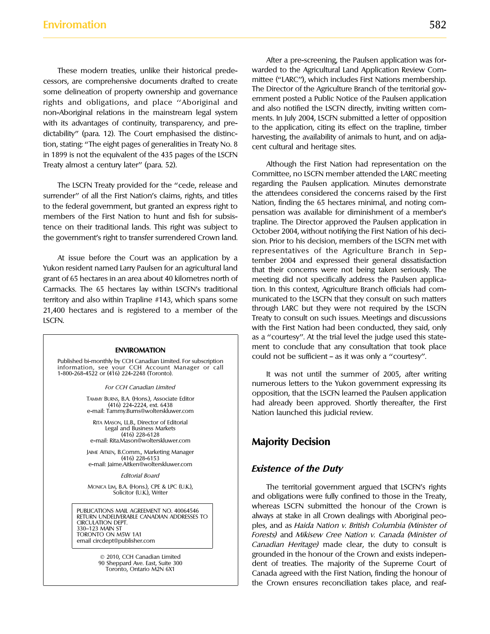cessors, are comprehensive documents drafted to create mittee ("LARC"), which includes First Nations membership.<br>Some delineation of property ownership and governance. The Director of the Agriculture Branch of the territor some delineation of property ownership and governance<br>rights and obligations, and place "Aboriginal and<br>non-Aboriginal relations in the mainstream legal system<br>with its advantages of continuity, transparency, and pre-<br>dict in 1899 is not the equivalent of the 435 pages of the LSCFN Treaty almost a century later'' (para. 52). Although the First Nation had representation on the

grant of 65 hectares in an area about 40 kilometres north of meeting did not specifically address the Paulsen applica-Carmacks. The 65 hectares lay within LSCFN's traditional tion. In this context, Agriculture Branch officials had comterritory and also within Trapline #143, which spans some municated to the LSCFN that they consult on such matters 21,400 hectares and is registered to a member of the through LARC but they were not required by the LSCFN Treaty to consult on such issues. Meetings and discussions LSCFN.

Published bi-monthly by CCH Canadian Limited. For subscription information, see your CCH Account Manager or call

RITA MASON, LL.B., Director of Editorial Legal and Business Markets (416) 228-6128

JAIME AITKEN, B.Comm., Marketing Manager (416) 228-6153<br>e-mail: Jaime.Aitken@wolterskluwer.com

After a pre-screening, the Paulsen application was for-These modern treaties, unlike their historical prede- warded to the Agricultural Land Application Review Com-

Committee, no LSCFN member attended the LARC meeting The LSCFN Treaty provided for the "cede, release and regarding the Paulsen application. Minutes demonstrate<br>ender" of all the First Nation's claims rights, and titles the attendees considered the concerns raised by the Fir surrender" of all the First Nation's claims, rights, and titles<br>to the federal government, but granted an express right to<br>members of the First Nation to hunt and fish for subsis-<br>tence on their traditional lands. This rig representatives of the Agriculture Branch in Sep-<br>At issue before the Court was an application by a<br>Yukon resident named Larry Paulsen for an agricultural land<br>that their concerns were not being taken seriously. The that their concerns were not being taken seriously. The with the First Nation had been conducted, they said, only as a ''courtesy''. At the trial level the judge used this state-**ENVIROMATION** ment to conclude that any consultation that took place<br>could not be sufficient – as it was only a "courtesy".

> It was not until the summer of 2005, after writing For CCH Canadian Limited<br>
> opposition, that the LSCFN learned the Paulsen application TAMMY BURNS, B.A. (Hons.), Associate Editor<br>
> (416) 224-2224, ext. 6438 had already been approved. Shortly thereafter, the First<br>
> e-mail: Tammy.Burns@wolterskluwer.com Nation launched this judicial review. Nation launched this judicial review.

### e-mail: Rita.Mason@wolterskluwer.com **Majority Decision**

### e-mail: Jaime.Aitken@wolterskluwer.com **Existence of the Duty** Editorial Board

MONICA LIM, B.A. (Hons.), CPE & LPC (U.K.), The territorial government argued that LSCFN's rights Solicitor (U.K.), Writer and obligations were fully confined to those in the Treaty, PUBLICATIONS MAIL AGREEMENT NO. 40064546<br>RETURN UNDELIVERABLE CANADIAN ADDRESSES TO always at stake in all Crown dealings with Aboriginal peo-RETURN UNDELIVERABLE CANADIAN ADDRESSES TO always at stake in all Crown dealings with Aboriginal peo-<br>CIRCULATION DEPT CIRCULATION DEPT.<br>330–123 MAIN ST LOOKER (Minister of 330–123 MAIN ST LOOKER)<br>2009–123 MAIN ST LOOKER (Minister of 330–123 MAIN ST LOOKER) and Mikisew Cree Nation v. Canada (Minister of TORONTO CREE AND CREE ARRAIGHT V. CANADA (MINISTER OF email circdept@publisher.com canadian Heritage) made clear, the duty to consult is © 2010, CCH Canadian Limited<br>
90 Sheppard Ave. East, Suite 300 dent of treaties. The majority of the Supreme Court of Foronto, Ontario M2N 6X1 Canada agreed with the First Nation, finding the honour of Toronto, Ontario M2N 6X1 the Crown ensures reconciliation takes place, and reaf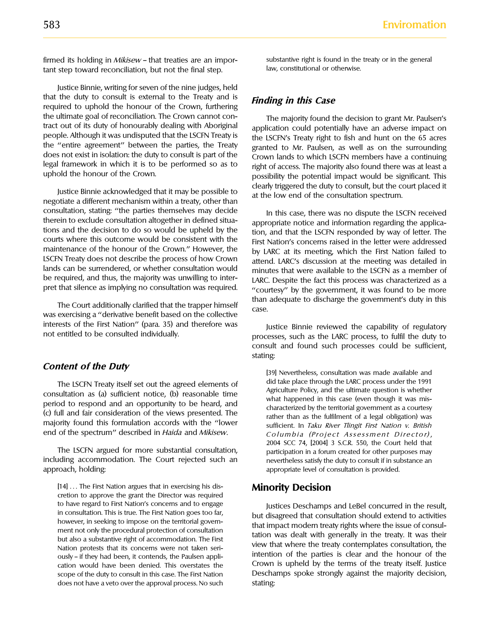firmed its holding in *Mikisew* – that treaties are an impor-<br>
tant step toward reconciliation but not the final step states are law, constitutional or otherwise. tant step toward reconciliation, but not the final step.

Justice Binnie, writing for seven of the nine judges, held that the duty to consult is external to the Treaty and is **Finding in this Case** required to uphold the honour of the Crown, furthering the ultimate goal of reconciliation. The Crown cannot con-<br>tract out of its duty of honourably dealing with Aboriginal<br>application could notentially have an adverse impact on tract out of its duty of honourably dealing with Aboriginal application could potentially have an adverse impact on<br>people. Although it was undisputed that the LSCFN Treaty is the LSCFN's Treaty right to fish and bunt on t people. Although it was undisputed that the LSCFN Treaty is<br>the LSCFN's Treaty right to fish and hunt on the 65 acres<br>the "entire agreement" between the parties, the Treaty<br>does not exist in isolation: the duty to consult

consultation, stating: "the parties themselves may decide<br>therein to exclude consultation altogether in defined situa-<br>tions and the decision to do so would be upheld by the<br>tion and that the LSCEN responded by way of lett tions and the decision to do so would be upheld by the<br>courts where this outcome would be consistent with the<br>maintenance of the honour of the Crown." However, the<br>hy 14PC at its meeting which the First Nation failed to maintenance of the honour of the Crown.'' However, the by LARC at its meeting, which the First Nation failed to<br>LSCFN Treaty does not describe the process of how Crown attend LARC's discussion at the meeting was detailed i LSCFN Treaty does not describe the process of how Crown attend. LARC's discussion at the meeting was detailed in<br>lands can be surrendered, or whether consultation would produce that were available to the LSCFN as a member lands can be surrendered, or whether consultation would minutes that were available to the LSCFN as a member of<br>be required, and thus, the majority was unwilling to inter-<br>langle Despite the fact this process was character be required, and thus, the majority was unwilling to inter-<br>pret that silence as implying no consultation was required. The courtesy'' by the government it was found to be more

interests of the First Nation'' (para. 35) and therefore was Justice Binnie reviewed the capability of regulatory<br>not entitled to be consulted individually.

The LSCFN Treaty itself set out the agreed elements of<br>consultation as (a) sufficient notice, (b) reasonable time<br>period to respond and an opportunity to be heard, and<br>(c) full and fair consideration of the views presented majority found this formulation accords with the "lower sufficient. In Taku River Tlingit First Nation v. British<br>end of the spectrum" described in Haida and Mikisew. Columbia (Project Assessment Director)

The LSCFN argued for more substantial consultation, participation in a forum created for other purposes may including accommodation. The Court rejected such an nevertheless satisfy the duty to consult if in substance an approach, holding: appropriate level of consultation is provided.

[14] . . . The First Nation argues that in exercising his dis- **Minority Decision** cretion to approve the grant the Director was required cation would have been denied. This overstates the does not have a veto over the approval process. No such stating:

legal framework in which it is to be performed so as to right of access. The majority also found there was at least a uphold the honour of the Crown. possibility the potential impact would be significant. This clearly triggered the duty to consult, but the court placed it Justice Binnie acknowledged that it may be possible to at the low end of the consultation spectrum. negotiate a different mechanism within a treaty, other than

"courtesy" by the government, it was found to be more The Court additionally clarified that the trapper himself than adequate to discharge the government's duty in this case. Was exercising a "derivative benefit based on the collective

> processes, such as the LARC process, to fulfil the duty to consult and found such processes could be sufficient, stating:

**Content of the Duty**<br>[39] Nevertheless, consultation was made available and Columbia (Project Assessment Director), 2004 SCC 74, [2004] 3 S.C.R. 550, the Court held that

to have regard to First Nation's concerns and to engage in consultation. This is true. The First Nation goes too far,<br>
however, in seeking to impose on the territorial govern-<br>
ment not only the procedural protection of co Intention of the parties is clear and the honour of the ously – if they had been, it contends, the Paulsen appli-<br>
cation would have been denied. This overstates the Crown is upheld by the terms of the treaty itself. Justi scope of the duty to consult in this case. The First Nation Deschamps spoke strongly against the majority decision,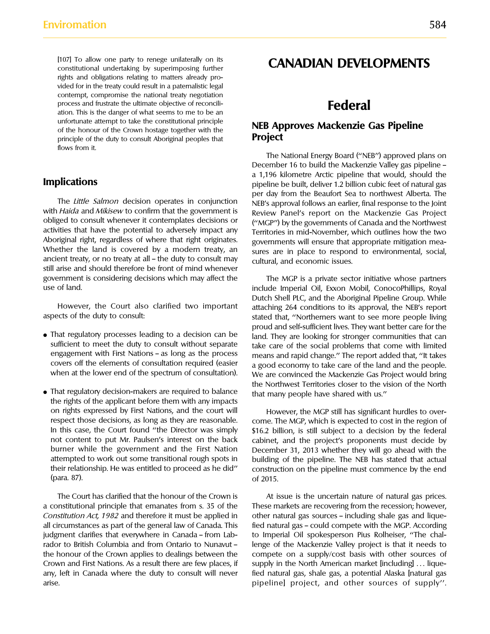[107] To allow one party to renege unilaterally on its [107] To allow one party to renege unilaterally on its **CANADIAN DEVELOPMENTS**<br>constitutional undertaking by superimposing further **CANADIAN DEVELOPMENTS** rights and obligations relating to matters already provided for in the treaty could result in a paternalistic legal contempt, compromise the national treaty negotiation process and frustrate the ultimate objective of reconcili-<br>ation. This is the danger of what seems to me to be an unfortunate attempt to take the constitutional principle<br>
of the honour of the Crown hostage together with the<br> **NEB Approves Mackenzie Gas Pipeline**<br> **Project** principle of the duty to consult Aboriginal peoples that flows from it.

with Haida and Mikisew to confirm that the government is explored Panel's report on the Mackenzie Gas Project<br>obliged to consult whenever it contemplates decisions or explore the governments of Canada and the Northwest obliged to consult whenever it contemplates decisions or ("MGP") by the governments of Canada and the Northwest activities that have the potential to adversely impact any regularized in mid-November which outlines how the activities that have the potential to adversely impact any Territories in mid-November, which outlines how the two<br>Aboriginal right, regardless of where that right originates. Sovernments will ensure that appropriate mitig Aboriginal right, regardless of where that right originates. governments will ensure that appropriate mitigation mea-<br>Whether the land is covered by a modern treaty, an sures are in place to respond to environmental socia ancient treaty, or no treaty at all – the duty to consult may cultural, and economic issues. still arise and should therefore be front of mind whenever government is considering decisions which may affect the The MGP is a private sector initiative whose partners use of land. include Imperial Oil, Exxon Mobil, ConocoPhillips, Royal

- 
- That regulatory decision-makers are required to balance that many people have shared with us." the rights of the applicant before them with any impacts on rights expressed by First Nations, and the court will However, the MGP still has significant hurdles to over-(para. 87). of 2015.

a constitutional principle that emanates from s. 35 of the These markets are recovering from the recession; however, Constitution Act, 1982 and therefore it must be applied in other natural gas sources – including shale gas and liquejudgment clarifies that everywhere in Canada - from Lab- to Imperial Oil spokesperson Pius Rolheiser, "The chalrador to British Columbia and from Ontario to Nunavut - lenge of the Mackenzie Valley project is that it needs to the honour of the Crown applies to dealings between the compete on a supply/cost basis with other sources of Crown and First Nations. As a result there are few places, if supply in the North American market [including] ... liqueany, left in Canada where the duty to consult will never fied natural gas, shale gas, a potential Alaska [natural gas arise. pipeline] project, and other sources of supply''.

The National Energy Board ("NEB") approved plans on December 16 to build the Mackenzie Valley gas pipeline a 1,196 kilometre Arctic pipeline that would, should the **Implications included included included included included included included included included included included included included included included included included included included** per day from the Beaufort Sea to northwest Alberta. The The *Little Salmon* decision operates in conjunction NEB's approval follows an earlier, final response to the Joint with *Haida* and *Mikisew* to confirm that the government is Review Panel's report on the Mackenzie Gas P sures are in place to respond to environmental, social,

Dutch Shell PLC, and the Aboriginal Pipeline Group. While However, the Court also clarified two important attaching 264 conditions to its approval, the NEB's report aspects of the duty to consult: stated that, "Northerners want to see more people living proud and self-sufficient lives. They want better care for the • That regulatory processes leading to a decision can be land. They are looking for stronger communities that can sufficient to meet the duty to consult without separate take care of the social problems that come with lim sufficient to meet the duty to consult without separate take care of the social problems that come with limited<br>The social problems that in the social process the process the social problems of the report added that "It ta engagement with First Nations – as long as the process means and rapid change." The report added that, "It takes<br>covers off the elements of consultation required (easier a good economy to take care of the land and the peop covers off the elements of consultation required (easier a good economy to take care of the land and the people.<br>when at the lower end of the spectrum of consultation). We are convinced the Mackenzie Gas Project would brin We are convinced the Mackenzie Gas Project would bring the Northwest Territories closer to the vision of the North

respect those decisions, as long as they are reasonable. come. The MGP, which is expected to cost in the region of In this case, the Court found "the Director was simply \$16.2 billion, is still subject to a decision by the federal not content to put Mr. Paulsen's interest on the back cabinet, and the project's proponents must decide by<br>burner while the government and the First Nation December 31, 2013 whether they will go ahead with the December 31, 2013 whether they will go ahead with the attempted to work out some transitional rough spots in building of the pipeline. The NEB has stated that actual their relationship. He was entitled to proceed as he did'' construction on the pipeline must commence by the end

The Court has clarified that the honour of the Crown is At issue is the uncertain nature of natural gas prices. all circumstances as part of the general law of Canada. This fied natural gas - could compete with the MGP. According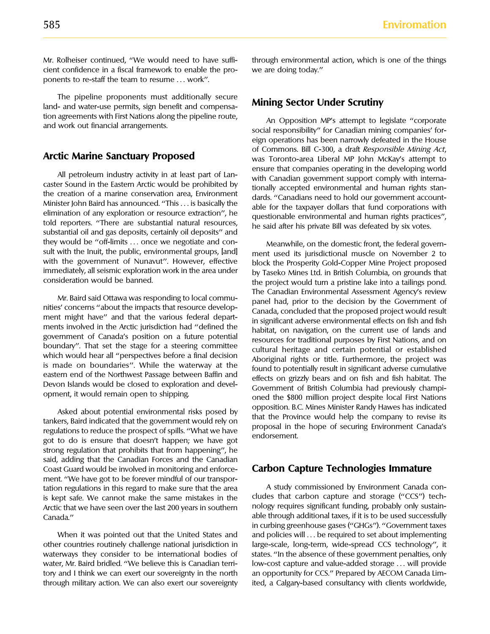cient confidence in a fiscal framework to enable the pro- we are doing today.'' ponents to re-staff the team to resume . . . work''.

The pipeline proponents must additionally secure **Mining Sector Under Scrutiny** land- and water-use permits, sign benefit and compensation agreements with First Nations along the pipeline route,<br>and work out financial arrangements.<br>social responsibility'' for Canadian mining companies' for-

All petroleum industry activity in at least part of Lance that companies operating in the developing world<br>caster Sound in the Eastern Arctic would be prohibited by<br>the creation of a marine conservation area, Environment<br>M they would be "off-limits ... once we negotiate and con-<br>sult with the lnuit, the public, environmental groups, [and] ment used its jurisdictional muscle on November 2 to sult with the Inuit, the public, environmental groups, [and] ment used its jurisdictional muscle on November 2 to<br>with the government of Nunavut''. However, effective block the Prosperity Cold-Conner Mine Project proposed with the government of Nunavut''. However, effective block the Prosperity Gold-Copper Mine Project proposed<br>immediately, all seismic exploration work in the area under by Taseko Mines Ltd. in British Columbia, on grounds t immediately, all seismic exploration work in the area under by Taseko Mines Ltd. in British Columbia, on grounds that

Asked about potential environmental risks posed by<br>
tankers, Baird indicated that the government would rely on<br>
regulations to reduce the prospect of spills. "What we have<br>
got to do is ensure that doesn't happen; we have strong regulation that prohibits that from happening'', he said, adding that the Canadian Forces and the Canadian Coast Guard would be involved in monitoring and enforce- **Carbon Capture Technologies Immature**  ment. ''We have got to be forever mindful of our transportation regulations in this regard to make sure that the area heating a study commissioned by Environment Canada con-<br>is kept safe. We cannot make the same mistakes in the cludes that carbon capture and storage ("CCS") tech is kept safe. We cannot make the same mistakes in the cludes that carbon capture and storage ("CCS") tech-<br>Arctic that we have seen over the last 200 years in southern and pology requires significant funding, probably only Arctic that we have seen over the last 200 years in southern Canada." Canada." Canada." Canada." able through additional taxes, if it is to be used successfully

other countries routinely challenge national jurisdiction in large-scale, long-term, wide-spread CCS technology'', it waterways they consider to be international bodies of states. "In the absence of these government penalties, only water, Mr. Baird bridled. "We believe this is Canadian terri- low-cost capture and value-added storage ... will provide tory and I think we can exert our sovereignty in the north an opportunity for CCS." Prepared by AECOM Canada Limthrough military action. We can also exert our sovereignty ited, a Calgary-based consultancy with clients worldwide,

Mr. Rolheiser continued, ''We would need to have suffi- through environmental action, which is one of the things

eign operations has been narrowly defeated in the House of Commons. Bill C-300, a draft Responsible Mining Act, **Arctic Marine Sanctuary Proposed** was Toronto-area Liberal MP John McKay's attempt to

the project would turn a pristine lake into a tailings pond. Mr. Baird said Ottawa was responding to local commuties<br>
in the Canadian Environmental Assessment Agency's review<br>
meth might have" and that the various federal depart-<br>
ment might have" and that the various federal depart

in curbing greenhouse gases (''GHGs''). ''Government taxes When it was pointed out that the United States and and policies will ... be required to set about implementing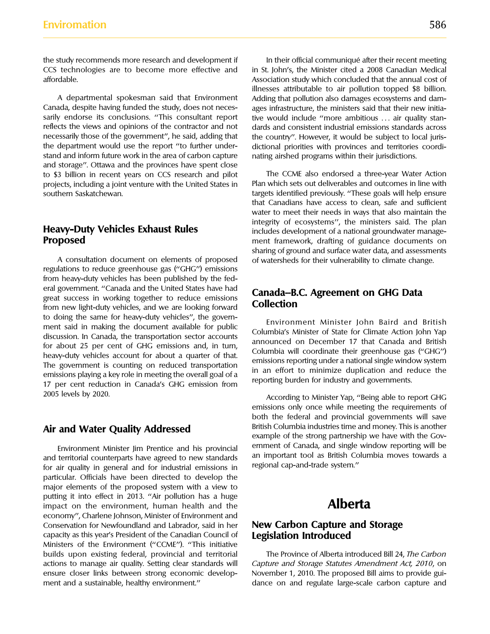the study recommends more research and development if **In their official communiqué after their recent meeting** 

Canada, despite having funded the study, does not neces-<br>sarily endorse its conclusions. "This consultant report tive would include "more ambitious ... air quality stanreflects the views and opinions of the contractor and not dards and consistent industrial emissions standards across necessarily those of the government", he said, adding that the country". However, it would be subject to necessarily those of the government", he said, adding that the country". However, it would be subject to local juris-<br>the department would use the report "to further under- dictional priorities with provinces and territori the department would use the report "to further under-<br>stand and inform future work in the area of carbon capture aring airshed programs within their iurisdictions. and storage''. Ottawa and the provinces have spent close to \$3 billion in recent years on CCS research and pilot The CCME also endorsed a three-year Water Action projects, including a joint venture with the United States in Plan which sets out deliverables and outcomes in line with<br>southern Saskatchewan.<br>Finsure targets identified previously. "These goals will help ensure

regulations to reduce greenhouse gas ("GHG") emissions from heavy-duty vehicles has been published by the federal government. "Canada and the United States have had<br>great success in working together to reduce emissions<br>from new light-duty vehicles, and we are looking forward<br>**Collection** to doing the same for heavy-duty vehicles", the govern-<br>
ment said in making the document available for public<br>
discussion. In Canada, the transportation sector accounts<br>
for about 25 per cent of GHG emissions and, in turn 2005 levels by 2020. 2005 levels by 2020.

particular. Officials have been directed to develop the major elements of the proposed system with a view to putting it into effect in 2013. "Air pollution has a huge impact on the environment, human health and the **Alberta** economy'', Charlene Johnson, Minister of Environment and Conservation for Newfoundland and Labrador, said in her **New Carbon Capture and Storage** capacity as this year's President of the Canadian Council of **Legislation Introduced** Ministers of the Environment (''CCME''). ''This initiative builds upon existing federal, provincial and territorial The Province of Alberta introduced Bill 24, The Carbon actions to manage air quality. Setting clear standards will Capture and Storage Statutes Amendment Act, 2010, on ensure closer links between strong economic develop- November 1, 2010. The proposed Bill aims to provide gui-

CCS technologies are to become more effective and in St. John's, the Minister cited a 2008 Canadian Medical affordable. Association study which concluded that the annual cost of illnesses attributable to air pollution topped \$8 billion. A departmental spokesman said that Environment Adding that pollution also damages ecosystems and damtive would include "more ambitious ... air quality stannating airshed programs within their jurisdictions.

targets identified previously. "These goals will help ensure that Canadians have access to clean, safe and sufficient water to meet their needs in ways that also maintain the integrity of ecosystems'', the ministers said. The plan **Heavy-Duty Vehicles Exhaust Rules** includes development of a national groundwater manage-<br>**Proposed** includes development of a national groundwater manage-<br>ment framework, drafting of guidance documents on ment framework, drafting of guidance documents on sharing of ground and surface water data, and assessments A consultation document on elements of proposed of watersheds for their vulnerability to climate change.

emissions only once while meeting the requirements of both the federal and provincial governments will save British Columbia industries time and money. This is another **Air and Water Quality Addressed** example of the strong partnership we have with the Gov-Environment Minister Jim Prentice and his provincial ernment of Canada, and single window reporting will be and territorial counterparts have agreed to new standards an important tool as British Columbia moves towards a fo

ment and a sustainable, healthy environment." dance on and regulate large-scale carbon capture and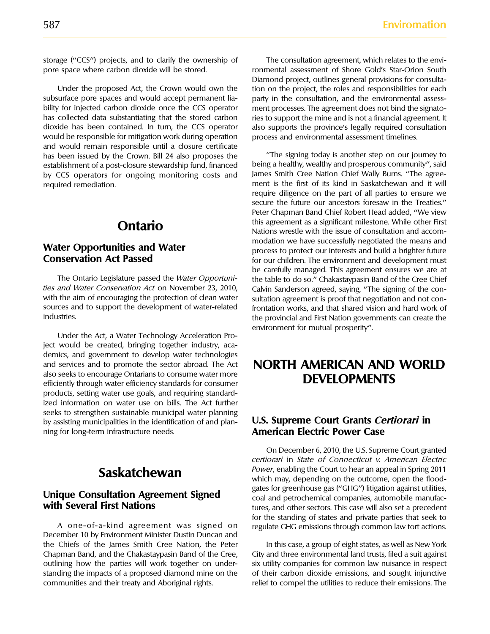subsurface pore spaces and would accept permanent lia-<br>
party in the consultation, and the environmental assessbility for injected carbon dioxide once the CCS operator ment processes. The agreement does not bind the signatohas collected data substantiating that the stored carbon ries to support the mine and is not a financial agreement. It dioxide has been contained. In turn, the CCS operator also supports the province's legally required consultation would be responsible for mitigation work during operation process and environmental assessment timelines. and would remain responsible until a closure certificate has been issued by the Crown. Bill 24 also proposes the "The signing today is another step on our journey to<br>establishment of a post-closure stewardship fund, financed being a healthy, wealthy and prosperous community", sa establishment of a post-closure stewardship fund, financed being a healthy, wealthy and prosperous community'', said by CCS operators for ongoing monitoring costs and required remediation. ment is the first of its kind in Saskatchewan and it will

with the aim of encouraging the protection of clean water sultation agreement is proof that negotiation and not consources and to support the development of water-related frontation works, and that shared vision and hard work of industries.

Under the Act, a Water Technology Acceleration Project would be created, bringing together industry, academics, and government to develop water technologies and services and to promote the sector abroad. The Act **NORTH AMERICAN AND WORLD** also seeks to encourage Ontarians to consume water more also seeks to encourage Ontahans to consume water more<br>efficiently through water efficiency standards for consumer **DEVELOPMENTS** products, setting water use goals, and requiring standardized information on water use on bills. The Act further seeks to strengthen sustainable municipal water planning by assisting municipalities in the identification of and plan- **U.S. Supreme Court Grants Certiorari in** ning for long-term infrastructure needs. **American Electric Power Case** 

December 10 by Environment Minister Dustin Duncan and the Chiefs of the James Smith Cree Nation, the Peter In this case, a group of eight states, as well as New York Chapman Band, and the Chakastaypasin Band of the Cree, City and three environmental land trusts, filed a suit against outlining how the parties will work together on under- six utility companies for common law nuisance in respect standing the impacts of a proposed diamond mine on the of their carbon dioxide emissions, and sought injunctive communities and their treaty and Aboriginal rights. The relief to compel the utilities to reduce their emissions. The

storage ("CCS") projects, and to clarify the ownership of The consultation agreement, which relates to the envipore space where carbon dioxide will be stored. The solution of Shore Gold's Star-Orion South Diamond project, outlines general provisions for consulta-Under the proposed Act, the Crown would own the tion on the project, the roles and responsibilities for each

require diligence on the part of all parties to ensure we secure the future our ancestors foresaw in the Treaties.'' Peter Chapman Band Chief Robert Head added, ''We view **Ontario Contario Contario Mations** wrestle with the issue of consultation and accom-<br>**Ontario** Nations wrestle with the issue of consultation and accom-**Water Opportunities and Water** modation we have successfully negotiated the means and<br> **Water Conservation Act Passed** entered to process to protect our interests and build a brighter future<br>
for our children. The environ for our children. The environment and development must be carefully managed. This agreement ensures we are at The Ontario Legislature passed the *Water Opportuni*-<br>the table to do so." Chakastaypasin Band of the Cree Chief<br>ties and Water Conservation Act on November 23, 2010, Calvin Sanderson agreed, saving, "The signing of the co Calvin Sanderson agreed, saying, "The signing of the conthe provincial and First Nation governments can create the environment for mutual prosperity''.

On December 6, 2010, the U.S. Supreme Court granted certiorari in State of Connecticut v. American Electric **Power, enabling the Court to hear an appeal in Spring 2011**<br>which may, depending on the outcome, open the floodgates for greenhouse gas ("GHG") litigation against utilities,<br> **Unique Consultation Agreement Signed** coal and petrochemical companies, automobile manufac-<br> **urise and other sectors** This case will also set a precedent tures, and other sectors. This case will also set a precedent for the standing of states and private parties that seek to A one-of-a-kind agreement was signed on regulate GHG emissions through common law tort actions.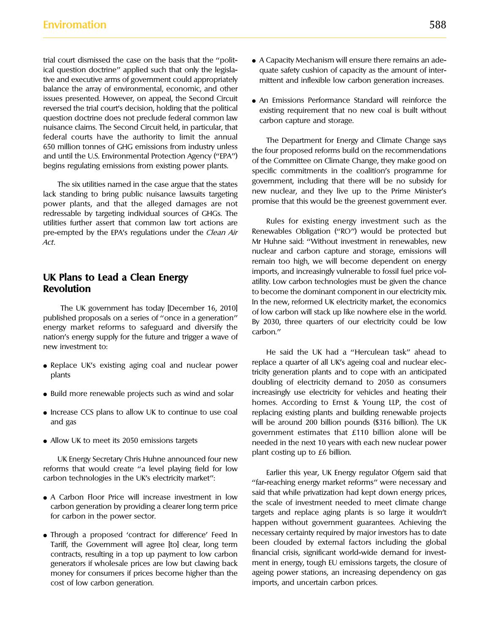ical question doctrine'' applied such that only the legisla- quate safety cushion of capacity as the amount of intertive and executive arms of government could appropriately mittent and inflexible low carbon generation increases. balance the array of environmental, economic, and other issues presented. However, on appeal, the Second Circuit • An Emissions Performance Standard will reinforce the<br>
reversed the trial court's decision, holding that the political existing requirement that no new coal is buil reversed the trial court's decision, holding that the political existing requirement that no new coal is built without question doctrine does not preclude federal common law question doctrine does not preclude federal common law carbon capture and storage. nuisance claims. The Second Circuit held, in particular, that

redressable by targeting individual sources of GHGs. The utilities further assert that common law tort actions are **Rules for existing energy investment such as the**<br>pre-empted by the FPA's regulations under the *Clean Air* Renewables Obligation ("RO") would be protected but pre-empted by the EPA's regulations under the Clean Air Act. Act. Act. Mr Huhne said: ''Without investment in renewables, new

The UK government has today [December 16, 2010]<br>published proposals on a series of "once in a generation"<br>energy market reforms to safeguard and diversify the<br>nation'' energy supply for the future and trigger a wave of<br>mat new investment to: he said the UK had a "Herculean task" ahead to

- 
- 
- 
- 

plant costing up to £6 billion. UK Energy Secretary Chris Huhne announced four new reforms that would create "a level playing field for low<br>
carbon technologies in the UK's electricity market":<br>
"far-reaching energy market reforms" were necessary and

- 
- generators if wholesale prices are low but clawing back cost of low carbon generation. imports, and uncertain carbon prices.
- trial court dismissed the case on the basis that the "polit-  $\bullet$  A Capacity Mechanism will ensure there remains an ade-
	-

Federal courts have the authority to limit the annual<br>650 million tonnes of GHG emissions from industry unless<br>and until the U.S. Environmental Protection Agency ("EPA")<br>begins regulating emissions from existing power plan The six utilities named in the case argue that the states<br>lack standing to bring public nuisance lawsuits targeting<br>power plants, and that the alleged damages are not<br>promise that this would be the greenest government ever

nuclear and carbon capture and storage, emissions will remain too high, we will become dependent on energy **ICK Plans to Lead a Clean Energy** imports, and increasingly vulnerable to fossil fuel price vol-<br> **Revolution**<br> **Revolution** to became the dominant component in our electricity mix. to become the dominant component in our electricity mix.

• Replace UK's existing aging coal and nuclear power replace a quarter of all UK's ageing coal and nuclear elec-<br>plants and to cope with an anticipated plants doubling of electricity demand to 2050 as consumers • Build more renewable projects such as wind and solar increasingly use electricity for vehicles and heating their homes. According to Ernst & Young LLP, the cost of • Increase CCS plans to allow UK to continue to use coal replacing existing plants and building renewable projects and gas will be around 200 billion pounds (\$316 billion). The UK government estimates that £110 billion alone will be • Allow UK to meet its 2050 emissions targets needed in the next 10 years with each new nuclear power

• A Carbon Floor Price will increase investment in low said that while privatization had kept down energy prices, the scale of investment needed to meet climate change targets and replace aging plants is so large it wouldn • Through a proposed 'contract for difference' Feed In ecessary certainty required by major investors has to date Tariff the Covernment will agree Itol clear Jong term been clouded by external factors including the global Tariff, the Government will agree [to] clear, long term been clouded by external factors including the global<br>contracts resulting in a top up payment to low carbon financial crisis, significant world-wide demand for invest contracts, resulting in a top up payment to low carbon financial crisis, significant world-wide demand for invest-<br>generators if wholesale prices are low but clawing back ment in energy, tough EU emissions targets, the clo money for consumers if prices become higher than the ageing power stations, an increasing dependency on gas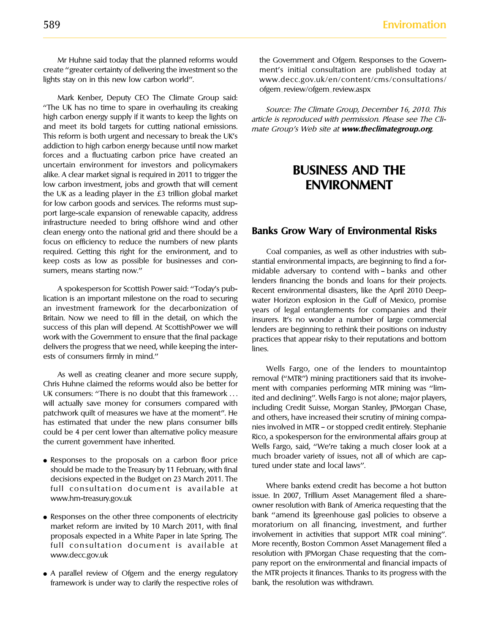create ''greater certainty of delivering the investment so the ment's initial consultation are published today at lights stay on in this new low carbon world''. www.decc.gov.uk/en/content/cms/consultations/

Mark Kenber, Deputy CEO The Climate Group said: "The UK has no time to spare in overhauling its creaking *Source: The Climate Group, December 16, 2010. This* high carbon energy supply if it wants to keep the lights on *article is reproduced with permission Please see T* high carbon energy supply if it wants to keep the lights on article is reproduced with permission. Please see The Cli-<br>and meet its bold targets for cutting national emissions. and Croup's Web site at www theclimategroup o and meet its bold targets for cutting national emissions. mate Group's Web site at **www.theclimategroup.org**. This reform is both urgent and necessary to break the UK's addiction to high carbon energy because until now market forces and a fluctuating carbon price have created an uncertain environment for investors and policymakers alike. A clear market signal is required in 2011 to trigger the **BUSINESS AND THE** low carbon investment, jobs and growth that will cement **ENVIRONMENT** the UK as a leading player in the £3 trillion global market for low carbon goods and services. The reforms must support large-scale expansion of renewable capacity, address infrastructure needed to bring offshore wind and other clean energy onto the national grid and there should be a **Banks Grow Wary of Environmental Risks**  focus on efficiency to reduce the numbers of new plants required. Getting this right for the environment, and to Coal companies, as well as other industries with subkeep costs as low as possible for businesses and con- stantial environmental impacts, are beginning to find a for-

lication is an important milestone on the road to securing water Horizon explosion in the Gulf of Mexico, promise<br>In investment framework for the decarbonization of wears of legal entanglements for companies and their an investment framework for the decarbonization of years of legal entanglements for companies and their<br>Britain. Now we need to fill in the detail, on which the insurers It's no wonder a number of large commercial Britain. Now we need to fill in the detail, on which the insurers. It's no wonder a number of large commercial<br>Success of this plan will depend. At ScottishPower we will lenders are beginning to rethink their positions on success of this plan will depend. At ScottishPower we will lenders are beginning to rethink their positions on industry<br>work with the Government to ensure that the final package lengtries that appear risky to their reputat delivers the progress that we need, while keeping the inter- $\frac{1}{2}$  lines. ests of consumers firmly in mind.''

- decisions expected in the Budget on 23 March 2011. The<br>
full consultation document is available at Where banks extend credit has become a hot button<br>
issue. In 2007, Trillium Asset Management filed a share-
- full consultation document is available at
- framework is under way to clarify the respective roles of bank, the resolution was withdrawn.

Mr Huhne said today that the planned reforms would the Government and Ofgem. Responses to the Governofgem\_review/ofgem\_review.aspx

sumers, means starting now." The midable adversary to contend with - banks and other lenders financing the bonds and loans for their projects. A spokesperson for Scottish Power said: "Today's pub-<br>lication is an important milestone on the road to securing<br>water Horizon explosion in the Gulf of Mexico, promise practices that appear risky to their reputations and bottom

As well as creating cleaner and more secure supply,<br>
Chris Huhne claimed the reforms would also be better for<br>
UK consumers: "There is no doubt that this framework ...<br>
UK consumers: "There is no doubt that this framework • Responses to the proposals on a carbon floor price much broader variety of issues, not all of which are cap-<br>should be made to the Treasury by 11 February, with final tured under state and local laws''.

issue. In 2007, Trillium Asset Management filed a share-<br>owner resolution with Bank of America requesting that the • Responses on the other three components of electricity bank "amend its [greenhouse gas] policies to observe a<br>market reform are invited by 10 March 2011, with final moratorium on all financing, investment, and further market reform are invited by 10 March 2011, with final improtorium on all financing, investment, and further moratorium or and further proposals expected in a White Paper in late Spring The involvement in activities that s proposals expected in a White Paper in late Spring. The involvement in activities that support MTR coal mining''. www.decc.gov.uk resolution with JPMorgan Chase requesting that the company report on the environmental and financial impacts of • A parallel review of Ofgem and the energy regulatory the MTR projects it finances. Thanks to its progress with the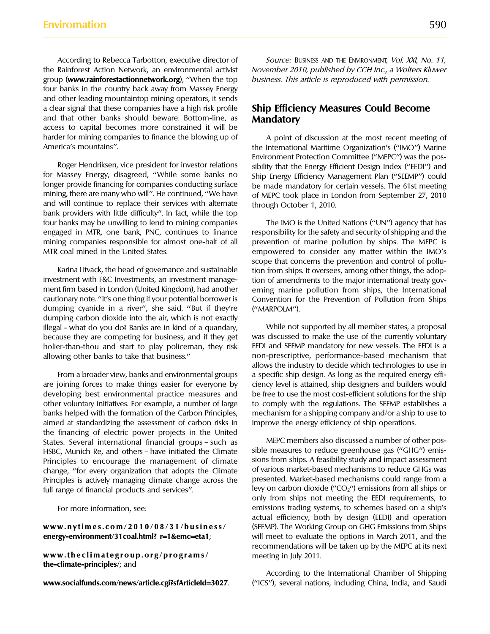According to Rebecca Tarbotton, executive director of Source: BUSINESS AND THE ENVIRONMENT, Vol. XXI, No. 11, group (**www.rainforestactionnetwork.org**), ''When the top business. This article is reproduced with permission. four banks in the country back away from Massey Energy and other leading mountaintop mining operators, it sends a clear signal that these companies have a high risk profile **Ship Efficiency Measures Could Become** and that other banks should beware. Bottom-line, as **Mandatory** access to capital becomes more constrained it will be harder for mining companies to finance the blowing up of A point of discussion at the most recent meeting of America's mountains". The International Maritime Organization's ('IMO'') Marine

for Massey Energy, disagreed, "While some banks no ship Energy Efficiency Management Plan ("SEEMP") could longer provide financing for companies conducting surface be made mandatory for certain vessels. The 61st meeting longer provide financing for companies conducting surface be made mandatory for certain vessels. The 61st meeting<br>mining, there are many who will". He continued, "We have of MFPC took place in London from September 27, 201 and will continue to replace their services with alternate through October 1, 2010. bank providers with little difficulty''. In fact, while the top four banks may be unwilling to lend to mining companies The IMO is the United Nations ("UN") agency that has engaged in MTR, one bank, PNC, continues to finance responsibility for the safety and security of shipping and the mining companies responsible for almost one-half of all prevention of marine pollution by ships. The MEPC is MTR coal mined in the United States. empowered to consider any matter within the IMO's

investment with F&C Investments, an investment manage- tion of amendments to the major international treaty govment firm based in London (United Kingdom), had another erning marine pollution from ships, the International cautionary note. "It's one thing if your potential borrower is Convention for the Prevention of Pollution from S dumping cyanide in a river'', she said. ''But if they're (''MARPOLM''). dumping carbon dioxide into the air, which is not exactly illegal — what do you do? Banks are in kind of a quandary, While not supported by all member states, a proposal because they are competing for business, and if they get was discussed to make the use of the currently voluntary holier-than-thou and start to play policeman, they risk EEDI and SEEMP mandatory for new vessels. The EEDI is a allowing other banks to take that business.'' non-prescriptive, performance-based mechanism that

are joining forces to make things easier for everyone by ciency level is attained, ship designers and builders would developing best environmental practice measures and be free to use the most cost-efficient solutions for the ship other voluntary initiatives. For example, a number of large to comply with the regulations. The SEEMP establishes a banks helped with the formation of the Carbon Principles, mechanism for a shipping company and/or a ship to use to aimed at standardizing the assessment of carbon risks in improve the energy efficiency of ship operations. the financing of electric power projects in the United States. Several international financial groups – such as MEPC members also discussed a number of other pos-<br>HSBC Munich Re and others – have initiated the Climate sible measures to reduce greenhouse gas ("GHG") emis-HSBC, Munich Re, and others – have initiated the Climate sible measures to reduce greenhouse gas ("GHG") emis-<br>Principles to encourage the management of climate sions from ships. A feasibility study and impact assessment Principles to encourage the management of climate sions from ships. A feasibility study and impact assessment<br>change "for even, organization that adopts the Climate of various market-based mechanisms to reduce GHGs was change, ''for every organization that adopts the Climate of various market-based mechanisms to reduce GHGs was Principles is actively managing climate change across the full range of financial products and services". levy on carbon dioxide ("CO<sub>2</sub>") emissions from all ships or

**www.theclimategroup.org/programs/** meeting in July 2011. **the-climate-principles/**; and

the Rainforest Action Network, an environmental activist November 2010, published by CCH Inc., a Wolters Kluwer

Environment Protection Committee (''MEPC'') was the pos-Roger Hendriksen, vice president for investor relations sibility that the Energy Efficient Design Index ("EEDI") and<br>for Massey Energy, disagreed, "While some banks no ship Energy Efficiency Management Plan ("SEEMP") could of MEPC took place in London from September 27, 2010

scope that concerns the prevention and control of pollu-Karina Litvack, the head of governance and sustainable tion from ships. It oversees, among other things, the adop-Convention for the Prevention of Pollution from Ships

allows the industry to decide which technologies to use in From a broader view, banks and environmental groups a specific ship design. As long as the required energy effi-

only from ships not meeting the EEDI requirements, to For more information, see: emissions trading systems, to schemes based on a ship's actual efficiency, both by design (EEDI) and operation **www.nytimes.com/2010/08/31/business/** (SEEMP). The Working Group on GHG Emissions from Ships **energy-environment/31coal.html?\_r=1&emc=eta1**; will meet to evaluate the options in March 2011, and the recommendations will be taken up by the MEPC at its next

According to the International Chamber of Shipping www.socialfunds.com/news/article.cgi?sfArticleId=3027. ("ICS"), several nations, including China, India, and Saudi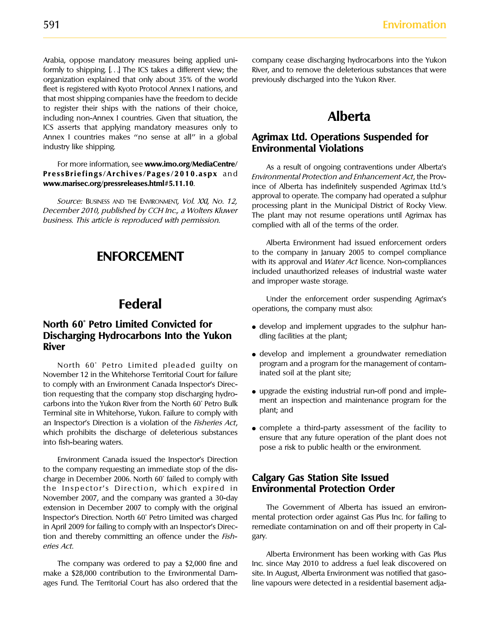Arabia, oppose mandatory measures being applied uni- company cease discharging hydrocarbons into the Yukon formly to shipping. [...] The ICS takes a different view; the River, and to remove the deleterious substances that were organization explained that only about 35% of the world previously discharged into the Yukon River. fleet is registered with Kyoto Protocol Annex I nations, and that most shipping companies have the freedom to decide to register their ships with the nations of their choice, including non-Annex I countries. Given that situation, the **Alberta** ICS asserts that applying mandatory measures only to Annex I countries makes "no sense at all" in a global **Agrimax Ltd. Operations Suspended for**<br> **Agrimax Ltd. Operations**<br> **Environmental Violations** 

### **North 60° Petro Limited Convicted for**  $\bullet$  develop and implement upgrades to the sulphur han-**Discharging Hydrocarbons Into the Yukon** dling facilities at the plant; **River River Exercise 2** and **i** and implement a groundwater remediation

November 12 in the Whitehorse Territorial Court for failure to comply with an Environment Canada Inspector's Direc example, the existing that the company stop discharging hydro-<br>
existing industrial run-off pond and imple-<br>
carbons into the Yukon River from the North 60˚ Petro Bulk<br>
plant; and<br>
plant; and Terminal site in Whitehorse, Yukon. Failure to comply with an Inspector's Direction is a violation of the *Fisheries Act*,<br>which prohibits the discharge of deleterious substances<br>into fish-bearing waters.<br>pose a risk to public health or the environment.

Environment Canada issued the Inspector's Direction to the company requesting an immediate stop of the discharge in December 2006. North 60˚ failed to comply with **Calgary Gas Station Site Issued** the Inspector's Direction, which expired in November 2007, and the company was granted a 30-day extension in December 2007 to comply with the original The Government of Alberta has issued an environ-Inspector's Direction. North 60˚ Petro Limited was charged mental protection order against Gas Plus Inc. for failing to in April 2009 for failing to comply with an Inspector's Direc- remediate contamination on and off their property in Caltion and thereby committing an offence under the Fish- gary. eries Act.

make a \$28,000 contribution to the Environmental Dam- site. In August, Alberta Environment was notified that gasoages Fund. The Territorial Court has also ordered that the line vapours were detected in a residential basement adja-

# **Environmental Violations**

For more information, see www.imo.org/MediaCentre/ As a result of ongoing contraventions under Alberta's<br>PressBriefings/Archives/Pages/2010.aspx and *Environmental Protection and Enhancement Act*, the Prov-<br>ince of Alberta Source: BUSINESS AND THE ENVIRONMENT, Vol. XXI, No. 12,<br>December 2010, published by CCH Inc., a Wolters Kluwer<br>business. This article is reproduced with permission.<br>business. This article is reproduced with permission.<br>com

> Alberta Environment had issued enforcement orders **ENFORCEMENT** to the company in January 2005 to compel compliance<br>with its approval and *Water Act* licence. Non-compliances included unauthorized releases of industrial waste water and improper waste storage.

**Federal** Under the enforcement order suspending Agrimax's operations, the company must also:

- 
- North 60° Petro Limited pleaded guilty on program and a program for the management of contam-<br>ember 12 in the Whitehorse Territorial Court for failure inated soil at the plant site;
	-
	-

Alberta Environment has been working with Gas Plus The company was ordered to pay a \$2,000 fine and Inc. since May 2010 to address a fuel leak discovered on